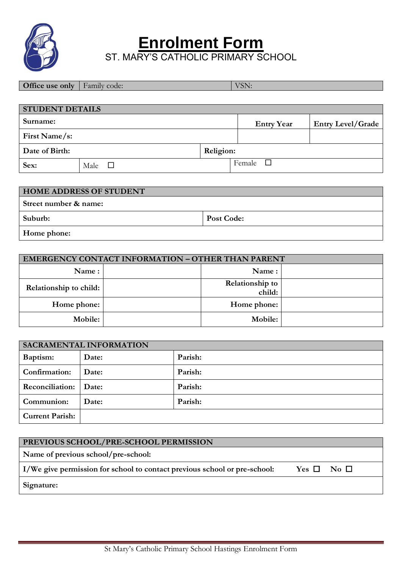

**Enrolment Form**

ST. MARY'S CATHOLIC PRIMARY SCHOOL

**Office use only** Family code: VSN:

| <b>STUDENT DETAILS</b> |                      |           |                   |                          |  |  |  |  |
|------------------------|----------------------|-----------|-------------------|--------------------------|--|--|--|--|
| Surname:               |                      |           | <b>Entry Year</b> | <b>Entry Level/Grade</b> |  |  |  |  |
| First Name/s:          |                      |           |                   |                          |  |  |  |  |
| Date of Birth:         |                      | Religion: |                   |                          |  |  |  |  |
| Sex:                   | Male<br>$\mathbf{L}$ |           | Female            |                          |  |  |  |  |

| <b>HOME ADDRESS OF STUDENT</b> |            |
|--------------------------------|------------|
| Street number & name:          |            |
| Suburb:                        | Post Code: |
| Home phone:                    |            |

| <b>EMERGENCY CONTACT INFORMATION - OTHER THAN PARENT</b> |  |                           |  |  |  |  |
|----------------------------------------------------------|--|---------------------------|--|--|--|--|
| Name:                                                    |  | Name:                     |  |  |  |  |
| Relationship to child:                                   |  | Relationship to<br>child: |  |  |  |  |
| Home phone:                                              |  | Home phone:               |  |  |  |  |
| Mobile:                                                  |  | Mobile:                   |  |  |  |  |

| SACRAMENTAL INFORMATION |       |         |  |  |
|-------------------------|-------|---------|--|--|
| Baptism:                | Date: | Parish: |  |  |
| Confirmation:           | Date: | Parish: |  |  |
| <b>Reconciliation:</b>  | Date: | Parish: |  |  |
| Communion:              | Date: | Parish: |  |  |
| <b>Current Parish:</b>  |       |         |  |  |

| PREVIOUS SCHOOL/PRE-SCHOOL PERMISSION                                     |                    |  |
|---------------------------------------------------------------------------|--------------------|--|
| Name of previous school/pre-school:                                       |                    |  |
| I/We give permission for school to contact previous school or pre-school: | $Yes \Box No \Box$ |  |
| Signature:                                                                |                    |  |
|                                                                           |                    |  |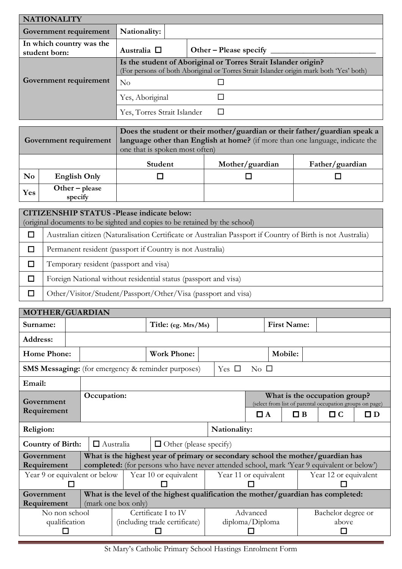| <b>NATIONALITY</b>                        |                             |                                                                                                                                                          |
|-------------------------------------------|-----------------------------|----------------------------------------------------------------------------------------------------------------------------------------------------------|
| Government requirement                    | Nationality:                |                                                                                                                                                          |
| In which country was the<br>student born: | Australia $\square$         | Other – Please specify                                                                                                                                   |
|                                           |                             | Is the student of Aboriginal or Torres Strait Islander origin?<br>(For persons of both Aboriginal or Torres Strait Islander origin mark both 'Yes' both) |
| Government requirement                    | $\rm No$                    |                                                                                                                                                          |
|                                           | Yes, Aboriginal             |                                                                                                                                                          |
|                                           | Yes, Torres Strait Islander |                                                                                                                                                          |

|     | Government requirement      | Does the student or their mother/guardian or their father/guardian speak a<br>language other than English at home? (if more than one language, indicate the<br>one that is spoken most often) |                 |                 |  |  |  |  |
|-----|-----------------------------|-----------------------------------------------------------------------------------------------------------------------------------------------------------------------------------------------|-----------------|-----------------|--|--|--|--|
|     |                             | Student                                                                                                                                                                                       | Mother/guardian | Father/guardian |  |  |  |  |
| No. | English Only                |                                                                                                                                                                                               |                 |                 |  |  |  |  |
| Yes | $Other - please$<br>specify |                                                                                                                                                                                               |                 |                 |  |  |  |  |

| <b>CITIZENSHIP STATUS -Please indicate below:</b><br>(original documents to be sighted and copies to be retained by the school) |  |  |  |  |  |
|---------------------------------------------------------------------------------------------------------------------------------|--|--|--|--|--|
| Australian citizen (Naturalisation Certificate or Australian Passport if Country of Birth is not Australia)                     |  |  |  |  |  |
| Permanent resident (passport if Country is not Australia)                                                                       |  |  |  |  |  |
| Temporary resident (passport and visa)                                                                                          |  |  |  |  |  |
| Foreign National without residential status (passport and visa)                                                                 |  |  |  |  |  |
| Other/Visitor/Student/Passport/Other/Visa (passport and visa)                                                                   |  |  |  |  |  |

| <b>MOTHER/GUARDIAN</b>                                    |                                                        |                  |                     |                                                                                            |              |                               |                       |  |                                                                                           |          |
|-----------------------------------------------------------|--------------------------------------------------------|------------------|---------------------|--------------------------------------------------------------------------------------------|--------------|-------------------------------|-----------------------|--|-------------------------------------------------------------------------------------------|----------|
| Surname:                                                  |                                                        |                  |                     | Title: (eg. Mrs/Ms)                                                                        |              |                               | <b>First Name:</b>    |  |                                                                                           |          |
| Address:                                                  |                                                        |                  |                     |                                                                                            |              |                               |                       |  |                                                                                           |          |
| <b>Home Phone:</b>                                        |                                                        |                  |                     | <b>Work Phone:</b>                                                                         |              |                               | Mobile:               |  |                                                                                           |          |
| <b>SMS Messaging:</b> (for emergency & reminder purposes) |                                                        |                  |                     |                                                                                            |              | Yes $\Box$<br>$\rm No$ $\Box$ |                       |  |                                                                                           |          |
| Email:                                                    |                                                        |                  |                     |                                                                                            |              |                               |                       |  |                                                                                           |          |
| Government                                                |                                                        | Occupation:      |                     |                                                                                            |              |                               |                       |  | What is the occupation group?<br>(select from list of parental occupation groups on page) |          |
| Requirement                                               |                                                        |                  |                     |                                                                                            |              | $\Box$ A                      | $\Box B$              |  | $\Box$ $C$                                                                                | $\Box$ D |
| Religion:                                                 |                                                        |                  |                     |                                                                                            | Nationality: |                               |                       |  |                                                                                           |          |
| <b>Country of Birth:</b>                                  |                                                        | $\Box$ Australia |                     | $\Box$ Other (please specify)                                                              |              |                               |                       |  |                                                                                           |          |
| Government                                                |                                                        |                  |                     | What is the highest year of primary or secondary school the mother/guardian has            |              |                               |                       |  |                                                                                           |          |
| Requirement                                               |                                                        |                  |                     | completed: (for persons who have never attended school, mark 'Year 9 equivalent or below') |              |                               |                       |  |                                                                                           |          |
|                                                           | Year 9 or equivalent or below<br>Year 10 or equivalent |                  |                     | Year 11 or equivalent                                                                      |              |                               | Year 12 or equivalent |  |                                                                                           |          |
|                                                           |                                                        |                  |                     |                                                                                            |              |                               |                       |  |                                                                                           |          |
|                                                           |                                                        |                  |                     |                                                                                            |              |                               |                       |  |                                                                                           |          |
| Government                                                |                                                        |                  |                     | What is the level of the highest qualification the mother/guardian has completed:          |              |                               |                       |  |                                                                                           |          |
| Requirement                                               |                                                        |                  | (mark one box only) |                                                                                            |              |                               |                       |  |                                                                                           |          |
| No non school                                             |                                                        |                  |                     | Certificate I to IV                                                                        |              | Advanced                      |                       |  | Bachelor degree or                                                                        |          |
|                                                           | qualification                                          |                  |                     | (including trade certificate)                                                              |              | diploma/Diploma               |                       |  | above                                                                                     |          |

St Mary's Catholic Primary School Hastings Enrolment Form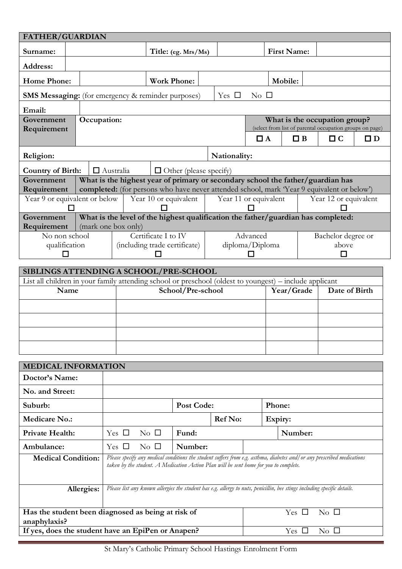| <b>FATHER/GUARDIAN</b>                                                                                          |                     |                  |                               |                     |                               |                                                                                                                                                                                                                  |                 |                    |          |                                                                      |             |
|-----------------------------------------------------------------------------------------------------------------|---------------------|------------------|-------------------------------|---------------------|-------------------------------|------------------------------------------------------------------------------------------------------------------------------------------------------------------------------------------------------------------|-----------------|--------------------|----------|----------------------------------------------------------------------|-------------|
| Surname:                                                                                                        |                     |                  |                               |                     | Title: (eg. Mrs/Ms)           |                                                                                                                                                                                                                  |                 | <b>First Name:</b> |          |                                                                      |             |
| Address:                                                                                                        |                     |                  |                               |                     |                               |                                                                                                                                                                                                                  |                 |                    |          |                                                                      |             |
| <b>Home Phone:</b>                                                                                              |                     |                  |                               |                     | <b>Work Phone:</b>            |                                                                                                                                                                                                                  |                 | Mobile:            |          |                                                                      |             |
| <b>SMS Messaging:</b> (for emergency & reminder purposes)                                                       |                     |                  |                               |                     |                               | Yes $\Box$                                                                                                                                                                                                       | $\rm No$ $\Box$ |                    |          |                                                                      |             |
| Email:                                                                                                          |                     |                  |                               |                     |                               |                                                                                                                                                                                                                  |                 |                    |          |                                                                      |             |
| Government                                                                                                      | Occupation:         |                  |                               |                     |                               |                                                                                                                                                                                                                  |                 |                    |          | What is the occupation group?                                        |             |
| Requirement                                                                                                     |                     |                  |                               |                     |                               |                                                                                                                                                                                                                  | $\Box$ A        |                    | $\Box$ B | (select from list of parental occupation groups on page)<br>$\Box$ C | $\square$ D |
|                                                                                                                 |                     |                  |                               |                     |                               |                                                                                                                                                                                                                  |                 |                    |          |                                                                      |             |
| Religion:                                                                                                       |                     |                  |                               |                     |                               | Nationality:                                                                                                                                                                                                     |                 |                    |          |                                                                      |             |
| <b>Country of Birth:</b><br>Government                                                                          |                     | $\Box$ Australia |                               |                     | $\Box$ Other (please specify) | What is the highest year of primary or secondary school the father/guardian has                                                                                                                                  |                 |                    |          |                                                                      |             |
| Requirement                                                                                                     |                     |                  |                               |                     |                               | completed: (for persons who have never attended school, mark 'Year 9 equivalent or below')                                                                                                                       |                 |                    |          |                                                                      |             |
| Year 9 or equivalent or below                                                                                   |                     |                  |                               |                     | Year 10 or equivalent         | Year 11 or equivalent                                                                                                                                                                                            |                 |                    |          | Year 12 or equivalent                                                |             |
|                                                                                                                 |                     |                  |                               |                     |                               |                                                                                                                                                                                                                  |                 |                    |          |                                                                      |             |
| Government<br>Requirement                                                                                       | (mark one box only) |                  |                               |                     |                               | What is the level of the highest qualification the father/guardian has completed:                                                                                                                                |                 |                    |          |                                                                      |             |
| No non school                                                                                                   |                     |                  |                               | Certificate I to IV |                               |                                                                                                                                                                                                                  | Advanced        |                    |          | Bachelor degree or                                                   |             |
| qualification<br>П                                                                                              |                     |                  | (including trade certificate) |                     |                               |                                                                                                                                                                                                                  | diploma/Diploma |                    |          | above                                                                |             |
|                                                                                                                 |                     |                  |                               |                     |                               |                                                                                                                                                                                                                  |                 |                    |          |                                                                      |             |
| SIBLINGS ATTENDING A SCHOOL/PRE-SCHOOL                                                                          |                     |                  |                               |                     |                               |                                                                                                                                                                                                                  |                 |                    |          |                                                                      |             |
| List all children in your family attending school or preschool (oldest to youngest) – include applicant<br>Name |                     |                  |                               |                     |                               |                                                                                                                                                                                                                  |                 | Year/Grade         |          | Date of Birth                                                        |             |
|                                                                                                                 |                     |                  | School/Pre-school             |                     |                               |                                                                                                                                                                                                                  |                 |                    |          |                                                                      |             |
|                                                                                                                 |                     |                  |                               |                     |                               |                                                                                                                                                                                                                  |                 |                    |          |                                                                      |             |
|                                                                                                                 |                     |                  |                               |                     |                               |                                                                                                                                                                                                                  |                 |                    |          |                                                                      |             |
|                                                                                                                 |                     |                  |                               |                     |                               |                                                                                                                                                                                                                  |                 |                    |          |                                                                      |             |
|                                                                                                                 |                     |                  |                               |                     |                               |                                                                                                                                                                                                                  |                 |                    |          |                                                                      |             |
| <b>MEDICAL INFORMATION</b>                                                                                      |                     |                  |                               |                     |                               |                                                                                                                                                                                                                  |                 |                    |          |                                                                      |             |
| Doctor's Name:                                                                                                  |                     |                  |                               |                     |                               |                                                                                                                                                                                                                  |                 |                    |          |                                                                      |             |
| No. and Street:                                                                                                 |                     |                  |                               |                     |                               |                                                                                                                                                                                                                  |                 |                    |          |                                                                      |             |
| Suburb:                                                                                                         |                     |                  |                               |                     | Post Code:                    |                                                                                                                                                                                                                  |                 | Phone:             |          |                                                                      |             |
| <b>Medicare No.:</b>                                                                                            |                     |                  |                               |                     |                               | <b>Ref No:</b>                                                                                                                                                                                                   |                 | Expiry:            |          |                                                                      |             |
| <b>Private Health:</b>                                                                                          |                     | Yes $\Box$       |                               | $\rm No$ $\Box$     | Fund:                         |                                                                                                                                                                                                                  |                 | Number:            |          |                                                                      |             |
| Ambulance:                                                                                                      |                     | Yes $\Box$       |                               | $\rm No$ $\Box$     | Number:                       |                                                                                                                                                                                                                  |                 |                    |          |                                                                      |             |
| <b>Medical Condition:</b>                                                                                       |                     |                  |                               |                     |                               | Please specify any medical conditions the student suffers from e.g. asthma, diabetes and/ or any prescribed medications<br>taken by the student. A Medication Action Plan will be sent home for you to complete. |                 |                    |          |                                                                      |             |
|                                                                                                                 |                     |                  |                               |                     |                               |                                                                                                                                                                                                                  |                 |                    |          |                                                                      |             |
|                                                                                                                 | Allergies:          |                  |                               |                     |                               | Please list any known allergies the student has e.g. allergy to nuts, penicillin, bee stings including specific details.                                                                                         |                 |                    |          |                                                                      |             |
|                                                                                                                 |                     |                  |                               |                     |                               |                                                                                                                                                                                                                  |                 |                    |          |                                                                      |             |
| Has the student been diagnosed as being at risk of                                                              |                     |                  |                               |                     |                               |                                                                                                                                                                                                                  |                 | Yes $\Box$         |          | $\rm No$ $\Box$                                                      |             |
| anaphylaxis?                                                                                                    |                     |                  |                               |                     |                               |                                                                                                                                                                                                                  |                 |                    |          |                                                                      |             |
| If yes, does the student have an EpiPen or Anapen?<br>Yes $\Box$<br>$\rm No$ $\Box$                             |                     |                  |                               |                     |                               |                                                                                                                                                                                                                  |                 |                    |          |                                                                      |             |

St Mary's Catholic Primary School Hastings Enrolment Form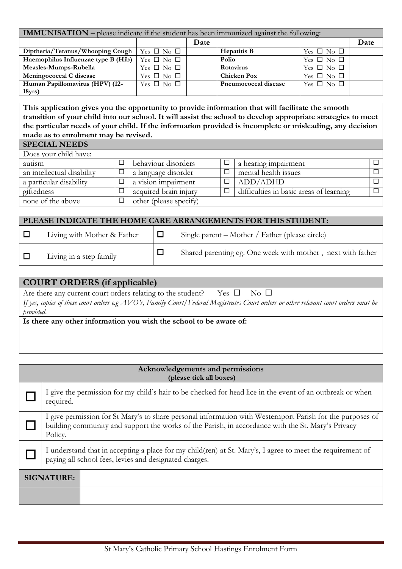| <b>IMMUNISATION</b> – please indicate if the student has been immunized against the following: |                            |      |                      |                      |      |  |  |
|------------------------------------------------------------------------------------------------|----------------------------|------|----------------------|----------------------|------|--|--|
|                                                                                                |                            | Date |                      |                      | Date |  |  |
| Diptheria/Tetanus/Whooping Cough                                                               | Yes $\square$ No $\square$ |      | Hepatitis B          | Yes $\Box$ No $\Box$ |      |  |  |
| Haemophilus Influenzae type B (Hib)                                                            | Yes $\Box$ No $\Box$       |      | Polio                | Yes $\Box$ No $\Box$ |      |  |  |
| Measles-Mumps-Rubella                                                                          | Yes $\square$ No $\square$ |      | Rotavirus            | Yes $\Box$ No $\Box$ |      |  |  |
| Meningococcal C disease                                                                        | Yes $\Box$ No $\Box$       |      | <b>Chicken Pox</b>   | Yes $\Box$ No $\Box$ |      |  |  |
| Human Papillomavirus (HPV) (12-                                                                | Yes $\Box$ No $\Box$       |      | Pneumococcal disease | Yes $\Box$ No $\Box$ |      |  |  |
| 18 <sub>yrs</sub>                                                                              |                            |      |                      |                      |      |  |  |

**This application gives you the opportunity to provide information that will facilitate the smooth transition of your child into our school. It will assist the school to develop appropriate strategies to meet the particular needs of your child. If the information provided is incomplete or misleading, any decision made as to enrolment may be revised.** 

| <b>SPECIAL NEEDS</b>       |   |                        |                                         |   |
|----------------------------|---|------------------------|-----------------------------------------|---|
| Does your child have:      |   |                        |                                         |   |
| autism                     |   | behaviour disorders    | a hearing impairment                    |   |
| an intellectual disability | 囗 | a language disorder    | mental health issues                    |   |
| a particular disability    | ⊐ | a vision impairment    | ADD/ADHD                                | П |
| giftedness                 |   | acquired brain injury  | difficulties in basic areas of learning | П |
| none of the above          |   | other (please specify) |                                         |   |

| PLEASE INDICATE THE HOME CARE ARRANGEMENTS FOR THIS STUDENT: |                             |        |                                                             |  |  |  |
|--------------------------------------------------------------|-----------------------------|--------|-------------------------------------------------------------|--|--|--|
| ∣ □                                                          | Living with Mother & Father | ▕▕▁▏   | Single parent – Mother / Father (please circle)             |  |  |  |
| $\Box$                                                       | Living in a step family     | $\Box$ | Shared parenting eg. One week with mother, next with father |  |  |  |

| <b>COURT ORDERS (if applicable)</b>                                                                                                     |  |  |  |  |  |  |
|-----------------------------------------------------------------------------------------------------------------------------------------|--|--|--|--|--|--|
| Are there any current court orders relating to the student? Yes $\square$ No $\square$                                                  |  |  |  |  |  |  |
| If yes, copies of these court orders e.g $AVO's$ , Family Court/Federal Magistrates Court orders or other relevant court orders must be |  |  |  |  |  |  |
| provided.                                                                                                                               |  |  |  |  |  |  |
| Is there any other information you wish the school to be aware of:                                                                      |  |  |  |  |  |  |
|                                                                                                                                         |  |  |  |  |  |  |

| Acknowledgements and permissions<br>(please tick all boxes) |                                                                                                                                                                                                                           |                                                                                                           |  |  |  |  |
|-------------------------------------------------------------|---------------------------------------------------------------------------------------------------------------------------------------------------------------------------------------------------------------------------|-----------------------------------------------------------------------------------------------------------|--|--|--|--|
|                                                             | required.                                                                                                                                                                                                                 | I give the permission for my child's hair to be checked for head lice in the event of an outbreak or when |  |  |  |  |
|                                                             | I give permission for St Mary's to share personal information with Westernport Parish for the purposes of<br>building community and support the works of the Parish, in accordance with the St. Mary's Privacy<br>Policy. |                                                                                                           |  |  |  |  |
|                                                             | I understand that in accepting a place for my child(ren) at St. Mary's, I agree to meet the requirement of<br>paying all school fees, levies and designated charges.                                                      |                                                                                                           |  |  |  |  |
| <b>SIGNATURE:</b>                                           |                                                                                                                                                                                                                           |                                                                                                           |  |  |  |  |
|                                                             |                                                                                                                                                                                                                           |                                                                                                           |  |  |  |  |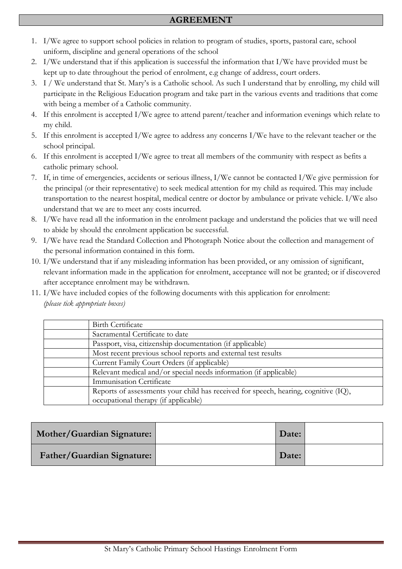- 1. I/We agree to support school policies in relation to program of studies, sports, pastoral care, school uniform, discipline and general operations of the school
- 2. I/We understand that if this application is successful the information that I/We have provided must be kept up to date throughout the period of enrolment, e.g change of address, court orders.
- 3. I / We understand that St. Mary's is a Catholic school. As such I understand that by enrolling, my child will participate in the Religious Education program and take part in the various events and traditions that come with being a member of a Catholic community.
- 4. If this enrolment is accepted I/We agree to attend parent/teacher and information evenings which relate to my child.
- 5. If this enrolment is accepted I/We agree to address any concerns I/We have to the relevant teacher or the school principal.
- 6. If this enrolment is accepted I/We agree to treat all members of the community with respect as befits a catholic primary school.
- 7. If, in time of emergencies, accidents or serious illness, I/We cannot be contacted I/We give permission for the principal (or their representative) to seek medical attention for my child as required. This may include transportation to the nearest hospital, medical centre or doctor by ambulance or private vehicle. I/We also understand that we are to meet any costs incurred.
- 8. I/We have read all the information in the enrolment package and understand the policies that we will need to abide by should the enrolment application be successful.
- 9. I/We have read the Standard Collection and Photograph Notice about the collection and management of the personal information contained in this form.
- 10. I/We understand that if any misleading information has been provided, or any omission of significant, relevant information made in the application for enrolment, acceptance will not be granted; or if discovered after acceptance enrolment may be withdrawn.
- 11. I/We have included copies of the following documents with this application for enrolment: *(please tick appropriate boxes)*

| Birth Certificate                                                                   |
|-------------------------------------------------------------------------------------|
| Sacramental Certificate to date                                                     |
| Passport, visa, citizenship documentation (if applicable)                           |
| Most recent previous school reports and external test results                       |
| Current Family Court Orders (if applicable)                                         |
| Relevant medical and/or special needs information (if applicable)                   |
| Immunisation Certificate                                                            |
| Reports of assessments your child has received for speech, hearing, cognitive (IQ), |
| occupational therapy (if applicable)                                                |

| Mother/Guardian Signature: | Date: |  |
|----------------------------|-------|--|
| Father/Guardian Signature: | Date: |  |